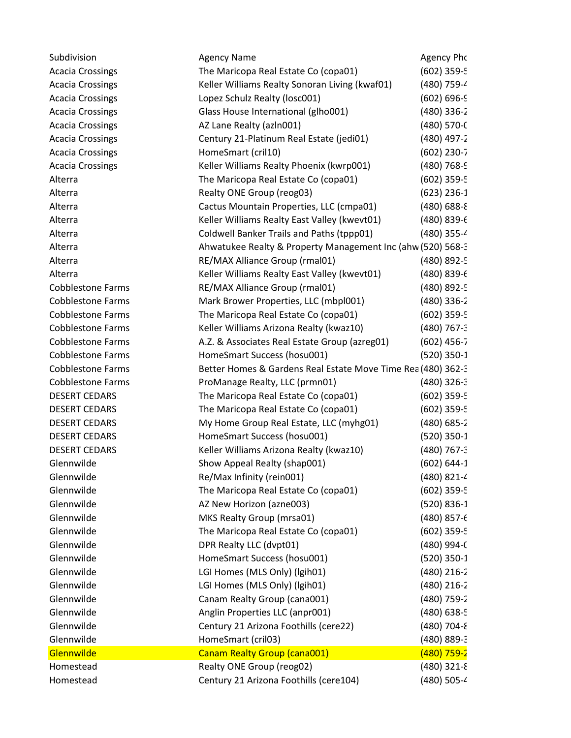| Subdivision              | <b>Agency Name</b>                                           | Agency Pho             |
|--------------------------|--------------------------------------------------------------|------------------------|
| <b>Acacia Crossings</b>  | The Maricopa Real Estate Co (copa01)                         | $(602)$ 359-5          |
| <b>Acacia Crossings</b>  | Keller Williams Realty Sonoran Living (kwaf01)               | (480) 759-4            |
| <b>Acacia Crossings</b>  | Lopez Schulz Realty (losc001)                                | $(602) 696 - 9$        |
| <b>Acacia Crossings</b>  | Glass House International (glho001)                          | $(480)$ 336-2          |
| <b>Acacia Crossings</b>  | AZ Lane Realty (azln001)                                     | (480) 570-0            |
| <b>Acacia Crossings</b>  | Century 21-Platinum Real Estate (jedi01)                     | $(480)$ 497-2          |
| <b>Acacia Crossings</b>  | HomeSmart (cril10)                                           | $(602)$ 230-7          |
| <b>Acacia Crossings</b>  | Keller Williams Realty Phoenix (kwrp001)                     | $(480)$ 768-9          |
| Alterra                  | The Maricopa Real Estate Co (copa01)                         | $(602)$ 359-5          |
| Alterra                  | Realty ONE Group (reog03)                                    | $(623)$ 236-1          |
| Alterra                  | Cactus Mountain Properties, LLC (cmpa01)                     | $(480) 688 - \epsilon$ |
| Alterra                  | Keller Williams Realty East Valley (kwevt01)                 | $(480) 839 - 6$        |
| Alterra                  | Coldwell Banker Trails and Paths (tppp01)                    | (480) 355-4            |
| Alterra                  | Ahwatukee Realty & Property Management Inc (ahw (520) 568-3  |                        |
| Alterra                  | RE/MAX Alliance Group (rmal01)                               | (480) 892-5            |
| Alterra                  | Keller Williams Realty East Valley (kwevt01)                 | $(480) 839 - 6$        |
| <b>Cobblestone Farms</b> | RE/MAX Alliance Group (rmal01)                               | (480) 892-5            |
| <b>Cobblestone Farms</b> | Mark Brower Properties, LLC (mbpl001)                        | $(480)$ 336-2          |
| Cobblestone Farms        | The Maricopa Real Estate Co (copa01)                         | $(602)$ 359-5          |
| <b>Cobblestone Farms</b> | Keller Williams Arizona Realty (kwaz10)                      | $(480)$ 767-3          |
| <b>Cobblestone Farms</b> | A.Z. & Associates Real Estate Group (azreg01)                | $(602)$ 456-7          |
| <b>Cobblestone Farms</b> | HomeSmart Success (hosu001)                                  | $(520)$ 350-1          |
| <b>Cobblestone Farms</b> | Better Homes & Gardens Real Estate Move Time Rea (480) 362-3 |                        |
| <b>Cobblestone Farms</b> | ProManage Realty, LLC (prmn01)                               | $(480)$ 326-3          |
| <b>DESERT CEDARS</b>     | The Maricopa Real Estate Co (copa01)                         | $(602)$ 359-5          |
| DESERT CEDARS            | The Maricopa Real Estate Co (copa01)                         | $(602)$ 359-5          |
| <b>DESERT CEDARS</b>     | My Home Group Real Estate, LLC (myhg01)                      | $(480) 685 - 2$        |
| <b>DESERT CEDARS</b>     | HomeSmart Success (hosu001)                                  | $(520)$ 350-1          |
| <b>DESERT CEDARS</b>     | Keller Williams Arizona Realty (kwaz10)                      | $(480)$ 767-3          |
| Glennwilde               | Show Appeal Realty (shap001)                                 | $(602) 644-1$          |
| Glennwilde               | Re/Max Infinity (rein001)                                    | (480) 821-4            |
| Glennwilde               | The Maricopa Real Estate Co (copa01)                         | (602) 359-5            |
| Glennwilde               | AZ New Horizon (azne003)                                     | $(520) 836-1$          |
| Glennwilde               | MKS Realty Group (mrsa01)                                    | $(480)$ 857- $($       |
| Glennwilde               | The Maricopa Real Estate Co (copa01)                         | $(602)$ 359-5          |
| Glennwilde               | DPR Realty LLC (dvpt01)                                      | (480) 994-0            |
| Glennwilde               | HomeSmart Success (hosu001)                                  | $(520)$ 350-1          |
| Glennwilde               | LGI Homes (MLS Only) (Igih01)                                | $(480)$ 216-2          |
| Glennwilde               | LGI Homes (MLS Only) (lgih01)                                | $(480)$ 216-2          |
| Glennwilde               | Canam Realty Group (cana001)                                 | (480) 759-2            |
| Glennwilde               | Anglin Properties LLC (anpr001)                              | (480) 638-5            |
| Glennwilde               | Century 21 Arizona Foothills (cere22)                        | $(480)$ 704-8          |
| Glennwilde               | HomeSmart (cril03)                                           | (480) 889-3            |
| Glennwilde               | Canam Realty Group (cana001)                                 | $(480)$ 759-2          |
| Homestead                | Realty ONE Group (reog02)                                    | $(480)$ 321-8          |
| Homestead                | Century 21 Arizona Foothills (cere104)                       | (480) 505-4            |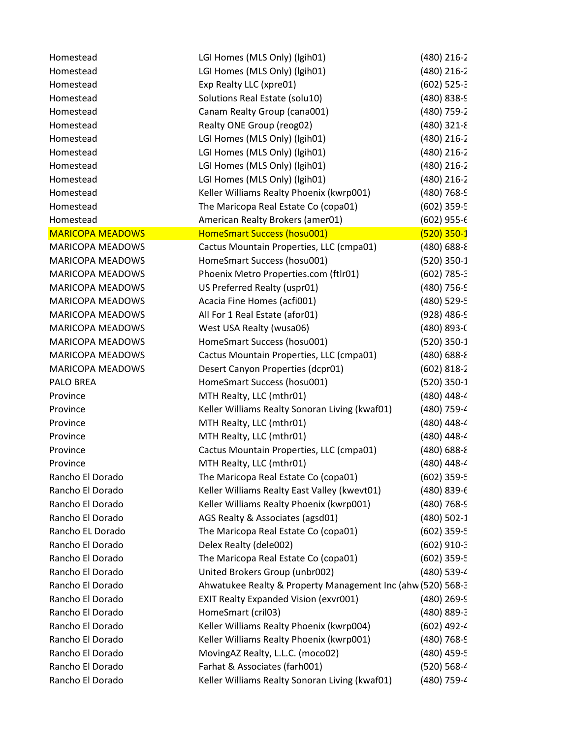| Homestead               | LGI Homes (MLS Only) (Igih01)                               | $(480)$ 216-2          |
|-------------------------|-------------------------------------------------------------|------------------------|
| Homestead               | LGI Homes (MLS Only) (Igih01)                               | $(480)$ 216-2          |
| Homestead               | Exp Realty LLC (xpre01)                                     | $(602)$ 525-3          |
| Homestead               | Solutions Real Estate (solu10)                              | (480) 838-9            |
| Homestead               | Canam Realty Group (cana001)                                | (480) 759-2            |
| Homestead               | Realty ONE Group (reog02)                                   | $(480)$ 321-8          |
| Homestead               | LGI Homes (MLS Only) (Igih01)                               | $(480)$ 216-2          |
| Homestead               | LGI Homes (MLS Only) (Igih01)                               | $(480)$ 216-2          |
| Homestead               | LGI Homes (MLS Only) (Igih01)                               | $(480)$ 216-2          |
| Homestead               | LGI Homes (MLS Only) (Igih01)                               | $(480)$ 216-2          |
| Homestead               | Keller Williams Realty Phoenix (kwrp001)                    | $(480)$ 768-9          |
| Homestead               | The Maricopa Real Estate Co (copa01)                        | (602) 359-5            |
| Homestead               | American Realty Brokers (amer01)                            | $(602)$ 955- $6$       |
| <b>MARICOPA MEADOWS</b> | HomeSmart Success (hosu001)                                 | $(520)$ 350-1          |
| <b>MARICOPA MEADOWS</b> | Cactus Mountain Properties, LLC (cmpa01)                    | $(480) 688 -$          |
| <b>MARICOPA MEADOWS</b> | HomeSmart Success (hosu001)                                 | $(520)$ 350-1          |
| <b>MARICOPA MEADOWS</b> | Phoenix Metro Properties.com (ftlr01)                       | $(602) 785 - 3$        |
| <b>MARICOPA MEADOWS</b> | US Preferred Realty (uspr01)                                | $(480)$ 756-9          |
| <b>MARICOPA MEADOWS</b> | Acacia Fine Homes (acfi001)                                 | (480) 529-5            |
| <b>MARICOPA MEADOWS</b> | All For 1 Real Estate (afor01)                              | $(928)$ 486-9          |
| <b>MARICOPA MEADOWS</b> | West USA Realty (wusa06)                                    | (480) 893-0            |
| <b>MARICOPA MEADOWS</b> | HomeSmart Success (hosu001)                                 | $(520)$ 350-1          |
| <b>MARICOPA MEADOWS</b> | Cactus Mountain Properties, LLC (cmpa01)                    | $(480) 688 - \epsilon$ |
| <b>MARICOPA MEADOWS</b> | Desert Canyon Properties (dcpr01)                           | $(602) 818-2$          |
| PALO BREA               | HomeSmart Success (hosu001)                                 | $(520)$ 350-1          |
| Province                | MTH Realty, LLC (mthr01)                                    | (480) 448-4            |
| Province                | Keller Williams Realty Sonoran Living (kwaf01)              | (480) 759-4            |
| Province                | MTH Realty, LLC (mthr01)                                    | (480) 448-4            |
| Province                | MTH Realty, LLC (mthr01)                                    | (480) 448-4            |
| Province                | Cactus Mountain Properties, LLC (cmpa01)                    | $(480) 688 -$          |
| Province                | MTH Realty, LLC (mthr01)                                    | (480) 448-4            |
| Rancho El Dorado        | The Maricopa Real Estate Co (copa01)                        | $(602)$ 359-5          |
| Rancho El Dorado        | Keller Williams Realty East Valley (kwevt01)                | $(480) 839 - 6$        |
| Rancho El Dorado        | Keller Williams Realty Phoenix (kwrp001)                    | $(480)$ 768-9          |
| Rancho El Dorado        | AGS Realty & Associates (agsd01)                            | $(480)$ 502-1          |
| Rancho EL Dorado        | The Maricopa Real Estate Co (copa01)                        | $(602)$ 359-5          |
| Rancho El Dorado        | Delex Realty (dele002)                                      | $(602)$ 910-3          |
| Rancho El Dorado        | The Maricopa Real Estate Co (copa01)                        | $(602)$ 359-5          |
| Rancho El Dorado        | United Brokers Group (unbr002)                              | (480) 539-4            |
| Rancho El Dorado        | Ahwatukee Realty & Property Management Inc (ahw (520) 568-3 |                        |
| Rancho El Dorado        | <b>EXIT Realty Expanded Vision (exvr001)</b>                | $(480)$ 269-9          |
| Rancho El Dorado        | HomeSmart (cril03)                                          | $(480) 889 - 3$        |
| Rancho El Dorado        | Keller Williams Realty Phoenix (kwrp004)                    | $(602)$ 492-4          |
| Rancho El Dorado        | Keller Williams Realty Phoenix (kwrp001)                    | $(480)$ 768-9          |
| Rancho El Dorado        | MovingAZ Realty, L.L.C. (moco02)                            | (480) 459-5            |
| Rancho El Dorado        | Farhat & Associates (farh001)                               | (520) 568-4            |
| Rancho El Dorado        | Keller Williams Realty Sonoran Living (kwaf01)              | (480) 759-4            |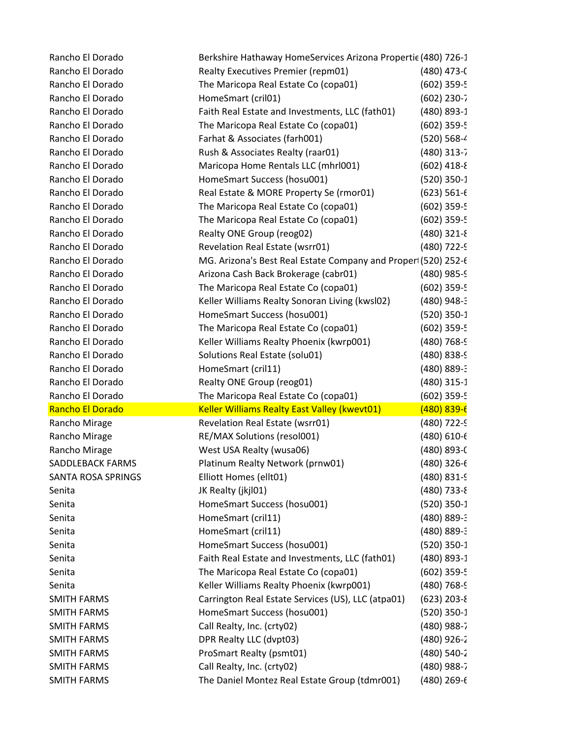| Rancho El Dorado                       | Berkshire Hathaway HomeServices Arizona Propertie (480) 726-1  |                  |
|----------------------------------------|----------------------------------------------------------------|------------------|
| Rancho El Dorado                       | Realty Executives Premier (repm01)                             | $(480)$ 473-0    |
| Rancho El Dorado                       | The Maricopa Real Estate Co (copa01)                           | $(602)$ 359-5    |
| Rancho El Dorado                       | HomeSmart (cril01)                                             | $(602)$ 230-7    |
| Rancho El Dorado                       | Faith Real Estate and Investments, LLC (fath01)                | (480) 893-1      |
| Rancho El Dorado                       | The Maricopa Real Estate Co (copa01)                           | $(602)$ 359-5    |
| Rancho El Dorado                       | Farhat & Associates (farh001)                                  | (520) 568-4      |
| Rancho El Dorado                       | Rush & Associates Realty (raar01)                              | $(480)$ 313-7    |
| Rancho El Dorado                       | Maricopa Home Rentals LLC (mhrl001)                            | $(602)$ 418-8    |
| Rancho El Dorado                       | HomeSmart Success (hosu001)                                    | $(520)$ 350-1    |
| Rancho El Dorado                       | Real Estate & MORE Property Se (rmor01)                        | $(623)$ 561- $($ |
| Rancho El Dorado                       | The Maricopa Real Estate Co (copa01)                           | $(602)$ 359-5    |
| Rancho El Dorado                       | The Maricopa Real Estate Co (copa01)                           | $(602)$ 359-5    |
| Rancho El Dorado                       | Realty ONE Group (reog02)                                      | $(480)$ 321-8    |
| Rancho El Dorado                       | Revelation Real Estate (wsrr01)                                | (480) 722-9      |
| Rancho El Dorado                       | MG. Arizona's Best Real Estate Company and Proper1 (520) 252-6 |                  |
| Rancho El Dorado                       | Arizona Cash Back Brokerage (cabr01)                           | $(480)$ 985-9    |
| Rancho El Dorado                       | The Maricopa Real Estate Co (copa01)                           | $(602)$ 359-5    |
| Rancho El Dorado                       | Keller Williams Realty Sonoran Living (kwsl02)                 | (480) 948-3      |
| Rancho El Dorado                       | HomeSmart Success (hosu001)                                    | $(520)$ 350-1    |
| Rancho El Dorado                       | The Maricopa Real Estate Co (copa01)                           | $(602)$ 359-5    |
| Rancho El Dorado                       | Keller Williams Realty Phoenix (kwrp001)                       | $(480)$ 768-9    |
| Rancho El Dorado                       | Solutions Real Estate (solu01)                                 | (480) 838-9      |
| Rancho El Dorado                       | HomeSmart (cril11)                                             | (480) 889-3      |
| Rancho El Dorado                       | Realty ONE Group (reog01)                                      | $(480)$ 315-1    |
| Rancho El Dorado                       | The Maricopa Real Estate Co (copa01)                           | $(602)$ 359-5    |
| Rancho El Dorado                       | <b>Keller Williams Realty East Valley (kwevt01)</b>            | $(480)$ 839-6    |
| Rancho Mirage                          | Revelation Real Estate (wsrr01)                                | (480) 722-9      |
| Rancho Mirage                          | RE/MAX Solutions (resol001)                                    | $(480) 610 - 6$  |
| Rancho Mirage                          | West USA Realty (wusa06)                                       | $(480) 893 - C$  |
| <b>SADDLEBACK FARMS</b>                | Platinum Realty Network (prnw01)                               | $(480)$ 326- $6$ |
| <b>SANTA ROSA SPRINGS</b>              | Elliott Homes (ellt01)                                         | $(480) 831 - 9$  |
| Senita                                 | JK Realty (jkjl01)                                             | $(480)$ 733-8    |
| Senita                                 | HomeSmart Success (hosu001)                                    | $(520)$ 350-1    |
| Senita                                 | HomeSmart (cril11)                                             | $(480) 889 - 3$  |
| Senita                                 | HomeSmart (cril11)                                             | $(480) 889 - 3$  |
| Senita                                 |                                                                |                  |
|                                        | HomeSmart Success (hosu001)                                    | $(520)$ 350-1    |
|                                        | Faith Real Estate and Investments, LLC (fath01)                | (480) 893-1      |
|                                        | The Maricopa Real Estate Co (copa01)                           | $(602)$ 359-5    |
| Senita                                 | Keller Williams Realty Phoenix (kwrp001)                       | $(480)$ 768-9    |
| <b>SMITH FARMS</b>                     | Carrington Real Estate Services (US), LLC (atpa01)             | $(623)$ 203-8    |
| SMITH FARMS                            | HomeSmart Success (hosu001)                                    | $(520)$ 350-1    |
| Senita<br>Senita<br><b>SMITH FARMS</b> | Call Realty, Inc. (crty02)                                     | $(480)$ 988-7    |
| <b>SMITH FARMS</b>                     | DPR Realty LLC (dvpt03)                                        | $(480)$ 926-2    |
| <b>SMITH FARMS</b>                     | ProSmart Realty (psmt01)                                       | (480) 540-2      |
| <b>SMITH FARMS</b>                     | Call Realty, Inc. (crty02)                                     | $(480)$ 988-7    |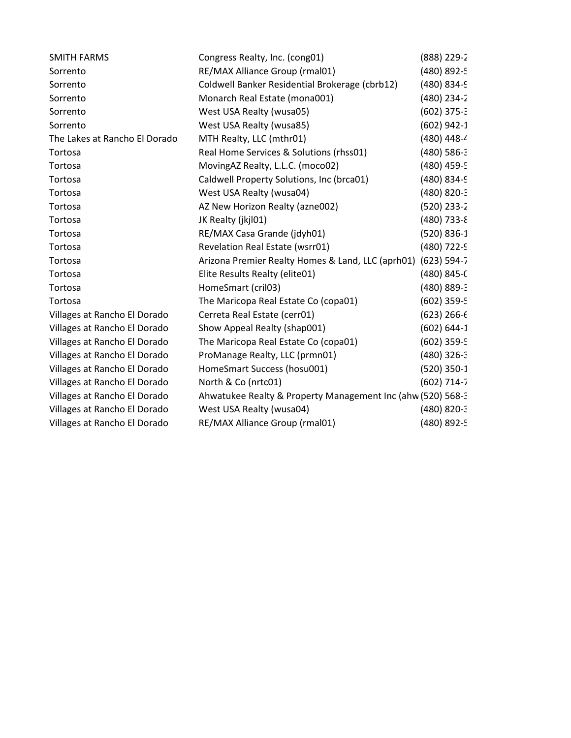| <b>SMITH FARMS</b>            | Congress Realty, Inc. (cong01)                              | $(888)$ 229-2    |
|-------------------------------|-------------------------------------------------------------|------------------|
| Sorrento                      | RE/MAX Alliance Group (rmal01)                              | (480) 892-5      |
| Sorrento                      | Coldwell Banker Residential Brokerage (cbrb12)              | (480) 834-9      |
| Sorrento                      | Monarch Real Estate (mona001)                               | $(480)$ 234-2    |
| Sorrento                      | West USA Realty (wusa05)                                    | $(602)$ 375-3    |
| Sorrento                      | West USA Realty (wusa85)                                    | $(602)$ 942-1    |
| The Lakes at Rancho El Dorado | MTH Realty, LLC (mthr01)                                    | $(480)$ 448-4    |
| Tortosa                       | Real Home Services & Solutions (rhss01)                     | $(480)$ 586-3    |
| Tortosa                       | MovingAZ Realty, L.L.C. (moco02)                            | (480) 459-5      |
| Tortosa                       | Caldwell Property Solutions, Inc (brca01)                   | (480) 834-9      |
| Tortosa                       | West USA Realty (wusa04)                                    | $(480) 820 - 3$  |
| Tortosa                       | AZ New Horizon Realty (azne002)                             | $(520)$ 233-2    |
| Tortosa                       | JK Realty (jkjl01)                                          | $(480)$ 733-8    |
| Tortosa                       | RE/MAX Casa Grande (jdyh01)                                 | $(520) 836-1$    |
| Tortosa                       | Revelation Real Estate (wsrr01)                             | (480) 722-9      |
| Tortosa                       | Arizona Premier Realty Homes & Land, LLC (aprh01)           | $(623) 594 - 7$  |
| Tortosa                       | Elite Results Realty (elite01)                              | $(480) 845 -$    |
| Tortosa                       | HomeSmart (cril03)                                          | (480) 889-3      |
| Tortosa                       | The Maricopa Real Estate Co (copa01)                        | $(602)$ 359-5    |
| Villages at Rancho El Dorado  | Cerreta Real Estate (cerr01)                                | $(623)$ 266- $($ |
| Villages at Rancho El Dorado  | Show Appeal Realty (shap001)                                | $(602) 644-1$    |
| Villages at Rancho El Dorado  | The Maricopa Real Estate Co (copa01)                        | $(602)$ 359-5    |
| Villages at Rancho El Dorado  | ProManage Realty, LLC (prmn01)                              | $(480)$ 326-3    |
| Villages at Rancho El Dorado  | HomeSmart Success (hosu001)                                 | $(520)$ 350-1    |
| Villages at Rancho El Dorado  | North & Co (nrtc01)                                         | $(602)$ 714-7    |
| Villages at Rancho El Dorado  | Ahwatukee Realty & Property Management Inc (ahw (520) 568-3 |                  |
| Villages at Rancho El Dorado  | West USA Realty (wusa04)                                    | (480) 820-3      |
| Villages at Rancho El Dorado  | RE/MAX Alliance Group (rmal01)                              | (480) 892-5      |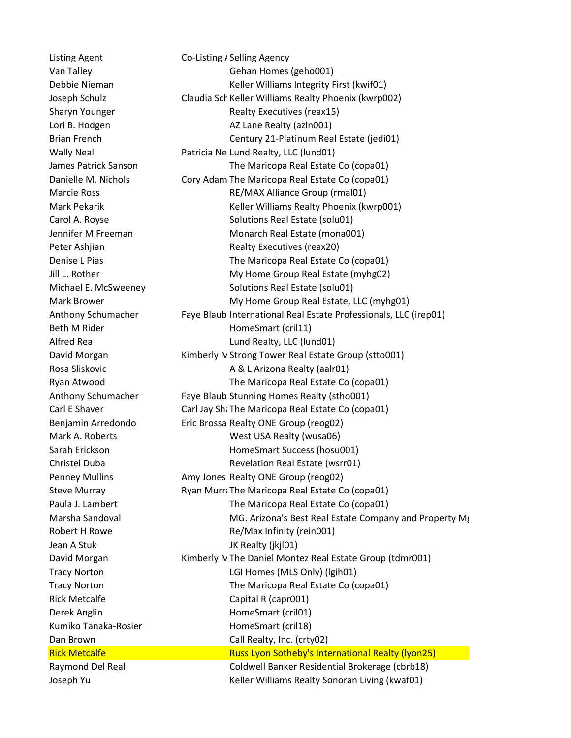Listing Agent Co-Listing / Selling Agency Van Talley Gehan Homes (geho001) Debbie Nieman Theorem Keller Williams Integrity First (kwif01) Joseph Schulz **Claudia Sch Keller Williams Realty Phoenix (kwrp002)** Sharyn Younger **Realty Executives** (reax15) Lori B. Hodgen AZ Lane Realty (azln001) Brian French Century 21-Platinum Real Estate (jedi01) Wally Neal **Patricia Ne Lund Realty, LLC (lund01)** James Patrick Sanson The Maricopa Real Estate Co (copa01) Danielle M. Nichols Cory Adam The Maricopa Real Estate Co (copa01) Marcie Ross **RE/MAX Alliance Group (rmal01)** Mark Pekarik Keller Williams Realty Phoenix (kwrp001) Carol A. Royse Solutions Real Estate (solu01) Jennifer M Freeman Monarch Real Estate (mona001) Peter Ashijan **Realty Executives (reax20)** Denise L Pias The Maricopa Real Estate Co (copa01) Jill L. Rother **My Home Group Real Estate (myhg02)** My Home Group Real Estate (myhg02) Michael E. McSweeney Solutions Real Estate (solu01) Mark Brower **My Home Group Real Estate, LLC (myhg01)** My Home Group Real Estate, LLC (myhg01) Anthony Schumacher Faye Blaub International Real Estate Professionals, LLC (irep01) Beth M Rider **HomeSmart** (cril11) Alfred Rea **Lund Realty**, LLC (lund01) David Morgan Kimberly N Strong Tower Real Estate Group (stto001) Rosa Sliskovic **A & L Arizona Realty (aalr01)** Ryan Atwood The Maricopa Real Estate Co (copa01) Anthony Schumacher Faye Blaub Stunning Homes Realty (stho001) Carl E Shaver **Carl Jay Shart Carl Jay Shart Condensity** Carl Estate Co (copa01) Benjamin Arredondo Eric Brossa Realty ONE Group (reog02) Mark A. Roberts **Mark A. Roberts** West USA Realty (wusa06) Sarah Erickson **HomeSmart Success** (hosu001) Christel Duba Revelation Real Estate (wsrr01) Penney Mullins **Amy Jones Realty ONE Group (reog02)** Steve Murray **Example 20 Ryan Murrat The Maricopa Real Estate Co (copa01)** Paula J. Lambert The Maricopa Real Estate Co (copa01) Marsha Sandoval MG. Arizona's Best Real Estate Company and Property Mg (Mga+33) Robert H Rowe Re/Max Infinity (rein001) Jean A Stuk JK Realty (jkjl01) David Morgan Kimberly MThe Daniel Montez Real Estate Group (tdmr001) Tracy Norton LGI Homes (MLS Only) (lgih01) Tracy Norton The Maricopa Real Estate Co (copa01) Rick Metcalfe **Capital R** (capr001) Derek Anglin **HomeSmart** (cril01) Kumiko Tanaka-Rosier **HomeSmart** (cril18) Dan Brown Call Realty, Inc. (crty02) Rick Metcalfe **Russ Lyon Sotheby's International Realty (Iyon25)** Raymond Del Real Coldwell Banker Residential Brokerage (cbrb18) Joseph Yu **Keller Williams Realty Sonoran Living (kwaf01**) **Keller Williams Realty Sonoran Living (kwaf01**)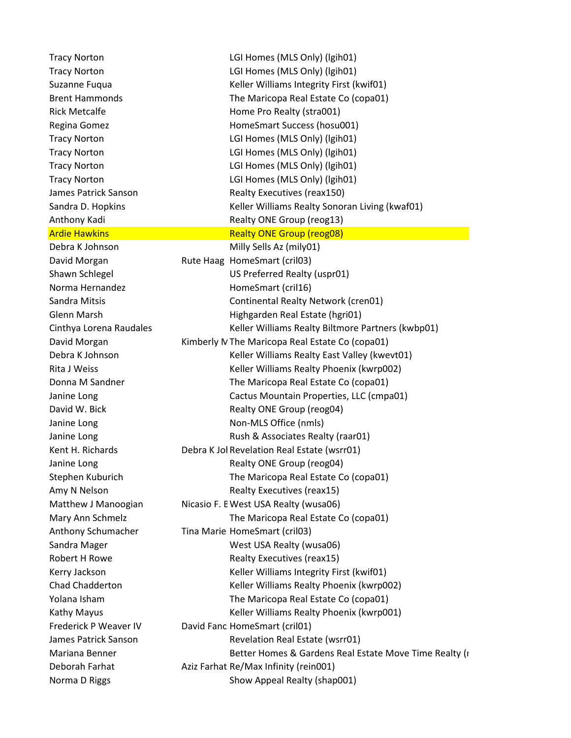Tracy Norton LGI Homes (MLS Only) (lgih01) Tracy Norton LGI Homes (MLS Only) (lgih01) Suzanne Fuqua The Realty Realty Keller Williams Integrity First (kwif01) Brent Hammonds The Maricopa Real Estate Co (copa01) Rick Metcalfe **Home Pro Realty (stra001)** Regina Gomez **HomeSmart Success (hosu001)** Tracy Norton LGI Homes (MLS Only) (lgih01) Tracy Norton LGI Homes (MLS Only) (lgih01) Tracy Norton LGI Homes (MLS Only) (lgih01) Tracy Norton LGI Homes (MLS Only) (lgih01) James Patrick Sanson Realty Executives (reax150) Sandra D. Hopkins **Keller Williams Realty Sonoran Living (kwaf01)** Keller Williams Realty Sonoran Living (kwaf01) Anthony Kadi Realty ONE Group (reog13) Ardie Hawkins **Realty ONE Group (reog08)** Debra K Johnson Milly Sells Az (mily01) David Morgan Rute Haag HomeSmart (cril03) Shawn Schlegel **Eighter Schlegel** US Preferred Realty (uspr01) Norma Hernandez **HomeSmart** (cril16) Sandra Mitsis Continental Realty Network (cren01) Glenn Marsh **Highgarden Real Estate (hgri01)** Cinthya Lorena Raudales Keller Williams Realty Biltmore Partners (kwbp01) David Morgan Kimberly N The Maricopa Real Estate Co (copa01) Debra K Johnson Keller Williams Realty East Valley (kwevt01) Rita J Weiss Keller Williams Realty Phoenix (kwrp002) Donna M Sandner The Maricopa Real Estate Co (copa01) Janine Long Cactus Mountain Properties, LLC (cmpa01) David W. Bick **Realty ONE Group (reog04)** Janine Long Non-MLS Office (nmls) Janine Long **Exercise 20** Rush & Associates Realty (raar01) Kent H. Richards Debra K Jol Revelation Real Estate (wsrr01) Janine Long **Contract Contract Contract Contract Contract Contract Contract Contract Contract Contract Contract Contract Contract Contract Contract Contract Contract Contract Contract Contract Contract Contract Contract Co** Stephen Kuburich The Maricopa Real Estate Co (copa01) Amy N Nelson **Realty Executives** (reax15) Matthew J Manoogian Nicasio F. E West USA Realty (wusa06) Mary Ann Schmelz **The Maricopa Real Estate Co (copa01)** Anthony Schumacher Tina Marie HomeSmart (cril03) Sandra Mager West USA Realty (wusa06) Robert H Rowe Realty Executives (reax15) Kerry Jackson **Keller Williams Integrity First (kwif01)** Keller Williams Integrity First (kwif01) Chad Chadderton Keller Williams Realty Phoenix (kwrp002) Yolana Isham The Maricopa Real Estate Co (copa01) Kathy Mayus **Keller Williams Realty Phoenix (kwrp001)** Keller Williams Realty Phoenix (kwrp001) Frederick P Weaver IV David Fanc HomeSmart (cril01) James Patrick Sanson **Revelation Real Estate (wsrr01)** Mariana Benner **Better Homes & Gardens Real Estate Move Time Realty (r** and Mariana Benner Realty (r Deborah Farhat **Aziz Farhat Re/Max Infinity (rein001)** Norma D Riggs Show Appeal Realty (shap001)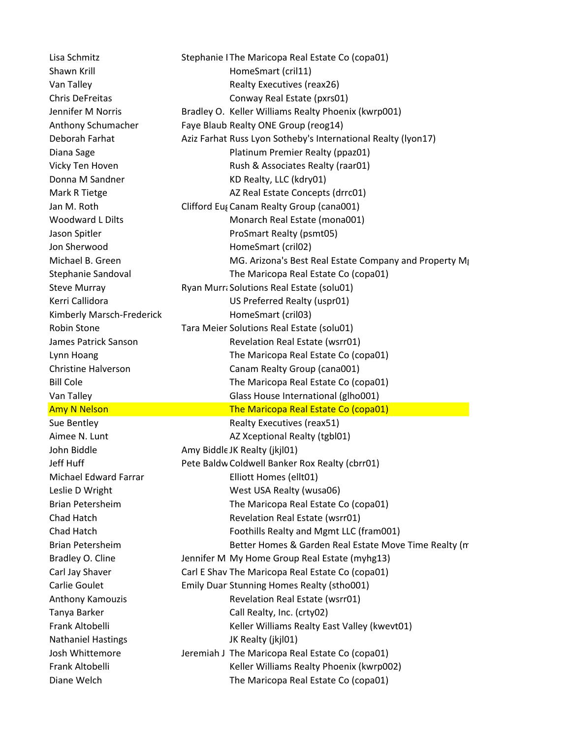Shawn Krill **HomeSmart** (cril11) Donna M Sandner KD Realty, LLC (kdry01) Jon Sherwood **HomeSmart** (cril02) Kimberly Marsch-Frederick HomeSmart (cril03) John Biddle **Amy Biddle JK Realty (jkjl01)** Michael Edward Farrar Elliott Homes (ellt01) Tanya Barker Call Realty, Inc. (crty02) Nathaniel Hastings JK Realty (jkjl01)

Lisa Schmitz Stephanie I The Maricopa Real Estate Co (copa01) Van Talley **Van Talley Realty Executives (reax26)** Chris DeFreitas Conway Real Estate (pxrs01) Jennifer M Norris **Bradley O. Keller Williams Realty Phoenix (kwrp001)** Anthony Schumacher Faye Blaub Realty ONE Group (reog14) Deborah Farhat Aziz Farhat Russ Lyon Sotheby's International Realty (lyon17) Diana Sage **Platinum Premier Realty (ppaz01)** Vicky Ten Hoven **Rush & Associates Realty (raar01)** Mark R Tietge **AZ Real Estate Concepts (drrc01)** Jan M. Roth Clifford Eus Canam Realty Group (cana001) Woodward L Dilts Monarch Real Estate (mona001) Jason Spitler **ProSmart Realty (psmt05)** Michael B. Green MG. Arizona's Best Real Estate Company and Property Mga433 Stephanie Sandoval The Maricopa Real Estate Co (copa01) Steve Murray **Ryan Murra** Solutions Real Estate (solu01) Kerri Callidora **Vancio Contract Callidora** US Preferred Realty (uspr01) Robin Stone Tara Meier Solutions Real Estate (solu01) James Patrick Sanson Revelation Real Estate (wsrr01) Lynn Hoang The Maricopa Real Estate Co (copa01) Christine Halverson Canam Realty Group (cana001) Bill Cole The Maricopa Real Estate Co (copa01) Van Talley Glass House International (glho001) Amy N Nelson **The Maricopa Real Estate Co (copa01)** Sue Bentley **Realty Executives** (reax51) Aimee N. Lunt AZ Xceptional Realty (tgbl01) Jeff Huff **Pete Baldw Coldwell Banker Rox Realty (cbrr01)** Leslie D Wright West USA Realty (wusa06) Brian Petersheim The Maricopa Real Estate Co (copa01) Chad Hatch **Revelation Real Estate (wsrr01)** Chad Hatch Foothills Realty and Mgmt LLC (fram001) Brian Petersheim Better Homes & Garden Real Estate Move Time Realty (movern Bradley O. Cline Jennifer M My Home Group Real Estate (myhg13) Carl Jay Shaver **Carl E Shav The Maricopa Real Estate Co (copa01)** Carlie Goulet **Emily Duar Stunning Homes Realty (stho001)** Anthony Kamouzis **Revelation Real Estate (wsrr01)** Frank Altobelli Keller Williams Realty East Valley (kwevt01) Josh Whittemore **Jeremiah J The Maricopa Real Estate Co (copa01)** Frank Altobelli Keller Williams Realty Phoenix (kwrp002) Diane Welch The Maricopa Real Estate Co (copa01)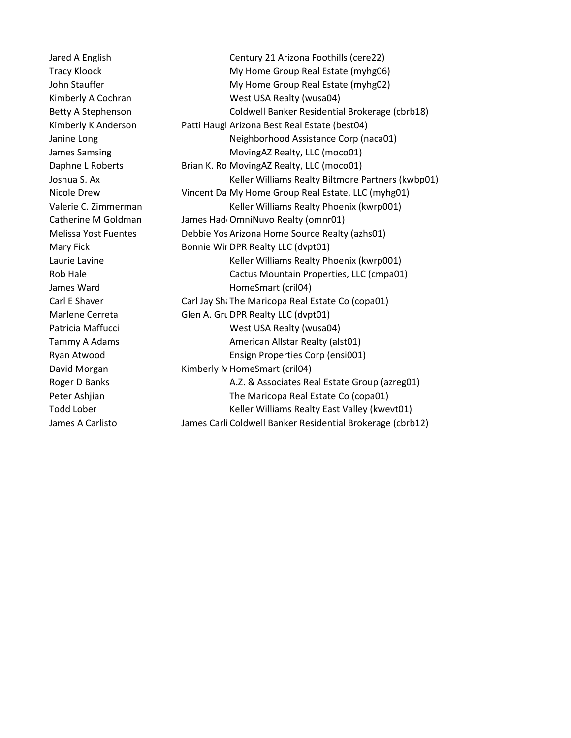Jared A English Century 21 Arizona Foothills (cere22) Tracy Kloock **My Home Group Real Estate (myhg06)** John Stauffer The My Home Group Real Estate (myhg02) Kimberly A Cochran West USA Realty (wusa04) Betty A Stephenson Coldwell Banker Residential Brokerage (cbrb18) Kimberly K Anderson Patti Haugl Arizona Best Real Estate (best04) Janine Long Neighborhood Assistance Corp (naca01) James Samsing MovingAZ Realty, LLC (moco01) Daphne L Roberts Brian K. Ro MovingAZ Realty, LLC (moco01) Joshua S. Ax Keller Williams Realty Biltmore Partners (kwbp01) Nicole Drew **Vincent David Home Group Real Estate, LLC (myhg01)** Valerie C. Zimmerman Keller Williams Realty Phoenix (kwrp001) Catherine M Goldman James HaddOmniNuvo Realty (omnr01) Melissa Yost Fuentes Debbie Yos Arizona Home Source Realty (azhs01) Mary Fick Bonnie Wir DPR Realty LLC (dvpt01) Laurie Lavine **Keller Williams Realty Phoenix (kwrp001)** Keller Williams Realty Phoenix (kwrp001) Rob Hale **Cactus Mountain Properties, LLC (cmpa01)** Cactus Mountain Properties, LLC (cmpa01) James Ward **HomeSmart** (cril04) Carl E Shaver Carl Jay Sharicopa Real Estate Co (copa01) Marlene Cerreta Glen A. Grunewald DPR Realty LLC (dvpt01) Patricia Maffucci **Matricia Matricia Matricia** West USA Realty (wusa04) Tammy A Adams **American Allstar Realty (alst01)** Ryan Atwood Ensign Properties Corp (ensi001) David Morgan Kimberly N HomeSmart (cril04) Roger D Banks **A.Z. & Associates Real Estate Group (azreg01)** A.Z. & Associates Real Estate Group (azreg01) Peter Ashijan The Maricopa Real Estate Co (copa01) Todd Lober **Keller Williams Realty East Valley (kwevt01)** James A Carlisto James Carli Coldwell Banker Residential Brokerage (cbrb12)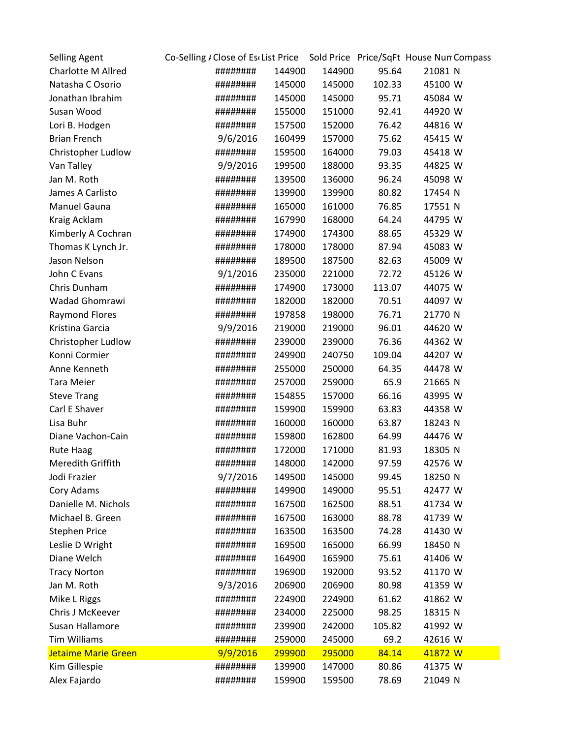| <b>Selling Agent</b>      | Co-Selling / Close of Es List Price Sold Price Price/SqFt House Nun Compass |                  |        |         |
|---------------------------|-----------------------------------------------------------------------------|------------------|--------|---------|
| <b>Charlotte M Allred</b> | ########                                                                    | 144900<br>144900 | 95.64  | 21081 N |
| Natasha C Osorio          | ########                                                                    | 145000<br>145000 | 102.33 | 45100 W |
| Jonathan Ibrahim          | ########                                                                    | 145000<br>145000 | 95.71  | 45084 W |
| Susan Wood                | ########                                                                    | 155000<br>151000 | 92.41  | 44920 W |
| Lori B. Hodgen            | ########                                                                    | 157500<br>152000 | 76.42  | 44816 W |
| <b>Brian French</b>       | 9/6/2016                                                                    | 160499<br>157000 | 75.62  | 45415 W |
| Christopher Ludlow        | ########                                                                    | 159500<br>164000 | 79.03  | 45418 W |
| Van Talley                | 9/9/2016                                                                    | 199500<br>188000 | 93.35  | 44825 W |
| Jan M. Roth               | ########                                                                    | 139500<br>136000 | 96.24  | 45098 W |
| James A Carlisto          | ########                                                                    | 139900<br>139900 | 80.82  | 17454 N |
| Manuel Gauna              | ########                                                                    | 165000<br>161000 | 76.85  | 17551 N |
| Kraig Acklam              | ########                                                                    | 167990<br>168000 | 64.24  | 44795 W |
| Kimberly A Cochran        | ########                                                                    | 174900<br>174300 | 88.65  | 45329 W |
| Thomas K Lynch Jr.        | ########                                                                    | 178000<br>178000 | 87.94  | 45083 W |
| Jason Nelson              | ########                                                                    | 189500<br>187500 | 82.63  | 45009 W |
| John C Evans              | 9/1/2016                                                                    | 235000<br>221000 | 72.72  | 45126 W |
| Chris Dunham              | ########                                                                    | 174900<br>173000 | 113.07 | 44075 W |
| Wadad Ghomrawi            | ########                                                                    | 182000<br>182000 | 70.51  | 44097 W |
| <b>Raymond Flores</b>     | ########                                                                    | 197858<br>198000 | 76.71  | 21770 N |
| Kristina Garcia           | 9/9/2016                                                                    | 219000<br>219000 | 96.01  | 44620 W |
| Christopher Ludlow        | ########                                                                    | 239000<br>239000 | 76.36  | 44362 W |
| Konni Cormier             | ########                                                                    | 249900<br>240750 | 109.04 | 44207 W |
| Anne Kenneth              | ########                                                                    | 255000<br>250000 | 64.35  | 44478 W |
| <b>Tara Meier</b>         | ########                                                                    | 257000<br>259000 | 65.9   | 21665 N |
| <b>Steve Trang</b>        | ########                                                                    | 154855<br>157000 | 66.16  | 43995 W |
| Carl E Shaver             | ########                                                                    | 159900<br>159900 | 63.83  | 44358 W |
| Lisa Buhr                 | ########                                                                    | 160000<br>160000 | 63.87  | 18243 N |
| Diane Vachon-Cain         | ########                                                                    | 159800<br>162800 | 64.99  | 44476 W |
| <b>Rute Haag</b>          | ########                                                                    | 172000<br>171000 | 81.93  | 18305 N |
| Meredith Griffith         | ########                                                                    | 148000<br>142000 | 97.59  | 42576 W |
| Jodi Frazier              | 9/7/2016                                                                    | 149500<br>145000 | 99.45  | 18250 N |
| Cory Adams                | ########                                                                    | 149900<br>149000 | 95.51  | 42477 W |
| Danielle M. Nichols       | ########                                                                    | 167500<br>162500 | 88.51  | 41734 W |
| Michael B. Green          | ########                                                                    | 167500<br>163000 | 88.78  | 41739 W |
| <b>Stephen Price</b>      | ########                                                                    | 163500<br>163500 | 74.28  | 41430 W |
| Leslie D Wright           | ########                                                                    | 169500<br>165000 | 66.99  | 18450 N |
| Diane Welch               | ########                                                                    | 164900<br>165900 | 75.61  | 41406 W |
| <b>Tracy Norton</b>       | ########                                                                    | 192000<br>196900 | 93.52  | 41170 W |
| Jan M. Roth               | 9/3/2016                                                                    | 206900<br>206900 | 80.98  | 41359 W |
| Mike L Riggs              | ########                                                                    | 224900<br>224900 | 61.62  | 41862 W |
| Chris J McKeever          | ########                                                                    | 234000<br>225000 | 98.25  | 18315 N |
| Susan Hallamore           | ########                                                                    | 239900<br>242000 | 105.82 | 41992 W |
| <b>Tim Williams</b>       | ########                                                                    | 259000<br>245000 | 69.2   | 42616 W |
| Jetaime Marie Green       | 9/9/2016                                                                    | 299900<br>295000 | 84.14  | 41872 W |
| Kim Gillespie             | ########                                                                    | 139900<br>147000 | 80.86  | 41375 W |
| Alex Fajardo              | ########                                                                    | 159900<br>159500 | 78.69  | 21049 N |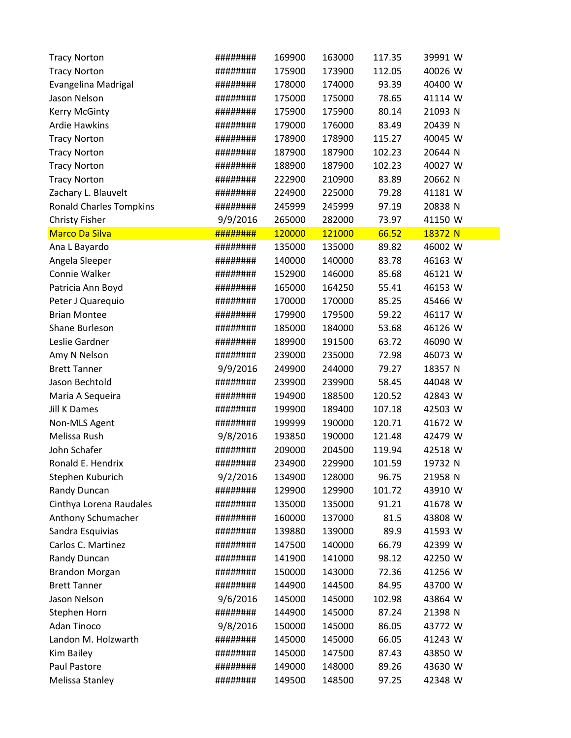| <b>Tracy Norton</b>            | ######## | 169900 | 163000 | 117.35 | 39991 W |
|--------------------------------|----------|--------|--------|--------|---------|
| <b>Tracy Norton</b>            | ######## | 175900 | 173900 | 112.05 | 40026 W |
| Evangelina Madrigal            | ######## | 178000 | 174000 | 93.39  | 40400 W |
| Jason Nelson                   | ######## | 175000 | 175000 | 78.65  | 41114 W |
| Kerry McGinty                  | ######## | 175900 | 175900 | 80.14  | 21093 N |
| <b>Ardie Hawkins</b>           | ######## | 179000 | 176000 | 83.49  | 20439 N |
| <b>Tracy Norton</b>            | ######## | 178900 | 178900 | 115.27 | 40045 W |
| <b>Tracy Norton</b>            | ######## | 187900 | 187900 | 102.23 | 20644 N |
| <b>Tracy Norton</b>            | ######## | 188900 | 187900 | 102.23 | 40027 W |
| <b>Tracy Norton</b>            | ######## | 222900 | 210900 | 83.89  | 20662 N |
| Zachary L. Blauvelt            | ######## | 224900 | 225000 | 79.28  | 41181 W |
| <b>Ronald Charles Tompkins</b> | ######## | 245999 | 245999 | 97.19  | 20838 N |
| <b>Christy Fisher</b>          | 9/9/2016 | 265000 | 282000 | 73.97  | 41150 W |
| <b>Marco Da Silva</b>          | ######## | 120000 | 121000 | 66.52  | 18372 N |
| Ana L Bayardo                  | ######## | 135000 | 135000 | 89.82  | 46002 W |
| Angela Sleeper                 | ######## | 140000 | 140000 | 83.78  | 46163 W |
| Connie Walker                  | ######## | 152900 | 146000 | 85.68  | 46121 W |
| Patricia Ann Boyd              | ######## | 165000 | 164250 | 55.41  | 46153 W |
| Peter J Quarequio              | ######## | 170000 | 170000 | 85.25  | 45466 W |
| <b>Brian Montee</b>            | ######## | 179900 | 179500 | 59.22  | 46117 W |
| Shane Burleson                 | ######## | 185000 | 184000 | 53.68  | 46126 W |
| Leslie Gardner                 | ######## | 189900 | 191500 | 63.72  | 46090 W |
| Amy N Nelson                   | ######## | 239000 | 235000 | 72.98  | 46073 W |
| <b>Brett Tanner</b>            | 9/9/2016 | 249900 | 244000 | 79.27  | 18357 N |
| Jason Bechtold                 | ######## | 239900 | 239900 | 58.45  | 44048 W |
| Maria A Sequeira               | ######## | 194900 | 188500 | 120.52 | 42843 W |
| <b>Jill K Dames</b>            | ######## | 199900 | 189400 | 107.18 | 42503 W |
| Non-MLS Agent                  | ######## | 199999 | 190000 | 120.71 | 41672 W |
| Melissa Rush                   | 9/8/2016 | 193850 | 190000 | 121.48 | 42479 W |
| John Schafer                   | ######## | 209000 | 204500 | 119.94 | 42518 W |
| Ronald E. Hendrix              | ######## | 234900 | 229900 | 101.59 | 19732 N |
| Stephen Kuburich               | 9/2/2016 | 134900 | 128000 | 96.75  | 21958 N |
| Randy Duncan                   | ######## | 129900 | 129900 | 101.72 | 43910 W |
| Cinthya Lorena Raudales        | ######## | 135000 | 135000 | 91.21  | 41678 W |
| Anthony Schumacher             | ######## | 160000 | 137000 | 81.5   | 43808 W |
| Sandra Esquivias               | ######## | 139880 | 139000 | 89.9   | 41593 W |
| Carlos C. Martinez             | ######## | 147500 | 140000 | 66.79  | 42399 W |
| Randy Duncan                   | ######## | 141900 | 141000 | 98.12  | 42250 W |
| <b>Brandon Morgan</b>          | ######## | 150000 | 143000 | 72.36  | 41256 W |
| <b>Brett Tanner</b>            | ######## | 144900 | 144500 | 84.95  | 43700 W |
| Jason Nelson                   | 9/6/2016 | 145000 | 145000 | 102.98 | 43864 W |
| Stephen Horn                   | ######## | 144900 | 145000 | 87.24  | 21398 N |
| Adan Tinoco                    | 9/8/2016 | 150000 | 145000 | 86.05  | 43772 W |
| Landon M. Holzwarth            | ######## | 145000 | 145000 | 66.05  | 41243 W |
| Kim Bailey                     | ######## | 145000 | 147500 | 87.43  | 43850 W |
| Paul Pastore                   | ######## | 149000 | 148000 | 89.26  | 43630 W |
| Melissa Stanley                | ######## | 149500 | 148500 | 97.25  | 42348 W |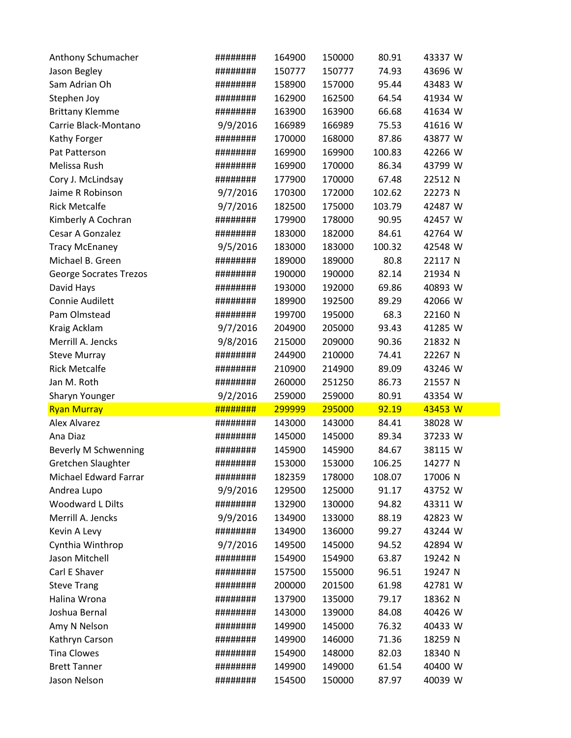| Anthony Schumacher                  | ######## | 164900 | 150000           | 80.91          | 43337 W            |
|-------------------------------------|----------|--------|------------------|----------------|--------------------|
| Jason Begley                        | ######## | 150777 | 150777           | 74.93          | 43696 W            |
| Sam Adrian Oh                       | ######## | 158900 | 157000           | 95.44          | 43483 W            |
| Stephen Joy                         | ######## | 162900 | 162500           | 64.54          | 41934 W            |
| <b>Brittany Klemme</b>              | ######## | 163900 | 163900           | 66.68          | 41634 W            |
| Carrie Black-Montano                | 9/9/2016 | 166989 | 166989           | 75.53          | 41616 W            |
| Kathy Forger                        | ######## | 170000 | 168000           | 87.86          | 43877 W            |
| Pat Patterson                       | ######## | 169900 | 169900           | 100.83         | 42266 W            |
| Melissa Rush                        | ######## | 169900 | 170000           | 86.34          | 43799 W            |
| Cory J. McLindsay                   | ######## | 177900 | 170000           | 67.48          | 22512 N            |
| Jaime R Robinson                    | 9/7/2016 | 170300 | 172000           | 102.62         | 22273 N            |
| <b>Rick Metcalfe</b>                | 9/7/2016 | 182500 | 175000           | 103.79         | 42487 W            |
| Kimberly A Cochran                  | ######## | 179900 | 178000           | 90.95          | 42457 W            |
| Cesar A Gonzalez                    | ######## | 183000 | 182000           | 84.61          | 42764 W            |
| <b>Tracy McEnaney</b>               | 9/5/2016 | 183000 | 183000           | 100.32         | 42548 W            |
| Michael B. Green                    | ######## | 189000 | 189000           | 80.8           | 22117 N            |
| <b>George Socrates Trezos</b>       | ######## | 190000 | 190000           | 82.14          | 21934 N            |
| David Hays                          | ######## | 193000 | 192000           | 69.86          | 40893 W            |
| Connie Audilett                     | ######## | 189900 | 192500           | 89.29          | 42066 W            |
| Pam Olmstead                        | ######## | 199700 | 195000           | 68.3           | 22160 N            |
| Kraig Acklam                        | 9/7/2016 | 204900 | 205000           | 93.43          | 41285 W            |
| Merrill A. Jencks                   | 9/8/2016 | 215000 | 209000           | 90.36          | 21832 N            |
| <b>Steve Murray</b>                 | ######## | 244900 | 210000           | 74.41          | 22267 N            |
| <b>Rick Metcalfe</b>                | ######## | 210900 | 214900           | 89.09          | 43246 W            |
|                                     |          |        |                  |                |                    |
| Jan M. Roth                         | ######## | 260000 | 251250           | 86.73          | 21557 N            |
| Sharyn Younger                      | 9/2/2016 | 259000 | 259000           | 80.91          | 43354 W            |
| <b>Ryan Murray</b>                  | ######## | 299999 | 295000           | 92.19          | 43453 W            |
| <b>Alex Alvarez</b>                 | ######## | 143000 | 143000           | 84.41          | 38028 W            |
| Ana Diaz                            | ######## | 145000 | 145000           | 89.34          | 37233 W            |
| Beverly M Schwenning                | ######## | 145900 | 145900           | 84.67          | 38115 W            |
| Gretchen Slaughter                  | ######## | 153000 | 153000           | 106.25         | 14277 N            |
| Michael Edward Farrar               | ######## | 182359 | 178000           | 108.07         | 17006 N            |
| Andrea Lupo                         | 9/9/2016 | 129500 | 125000           | 91.17          | 43752 W            |
| Woodward L Dilts                    | ######## | 132900 | 130000           | 94.82          | 43311 W            |
| Merrill A. Jencks                   | 9/9/2016 | 134900 | 133000           | 88.19          | 42823 W            |
| Kevin A Levy                        | ######## | 134900 | 136000           | 99.27          | 43244 W            |
| Cynthia Winthrop                    | 9/7/2016 | 149500 | 145000           | 94.52          | 42894 W            |
| Jason Mitchell                      | ######## | 154900 | 154900           | 63.87          | 19242 N            |
| Carl E Shaver                       | ######## | 157500 | 155000           | 96.51          | 19247 N            |
| <b>Steve Trang</b>                  | ######## | 200000 | 201500           | 61.98          | 42781 W            |
| Halina Wrona                        | ######## | 137900 | 135000           | 79.17          | 18362 N            |
| Joshua Bernal                       | ######## | 143000 | 139000           | 84.08          | 40426 W            |
| Amy N Nelson                        | ######## | 149900 | 145000           | 76.32          | 40433 W            |
| Kathryn Carson                      | ######## | 149900 | 146000           | 71.36          | 18259 N            |
| <b>Tina Clowes</b>                  | ######## | 154900 | 148000           | 82.03          | 18340 N            |
| <b>Brett Tanner</b><br>Jason Nelson | ######## | 149900 | 149000<br>150000 | 61.54<br>87.97 | 40400 W<br>40039 W |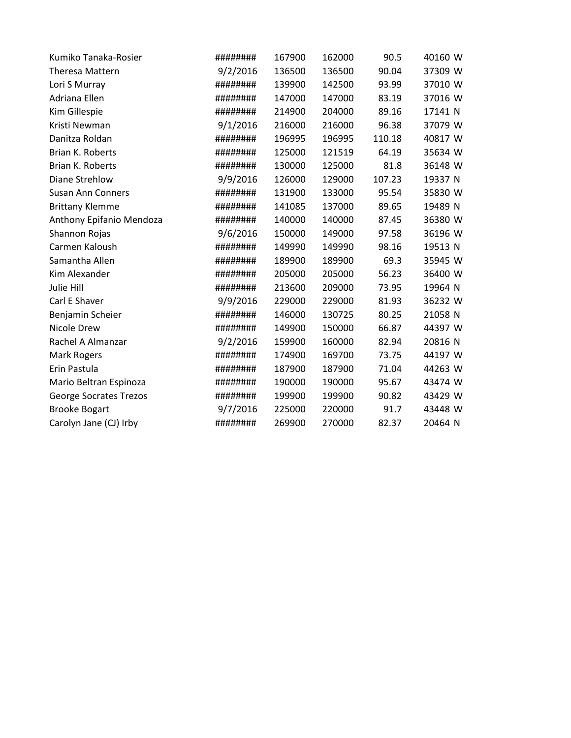| Kumiko Tanaka-Rosier          | ######## | 167900 | 162000 | 90.5   | 40160 W |
|-------------------------------|----------|--------|--------|--------|---------|
| <b>Theresa Mattern</b>        | 9/2/2016 | 136500 | 136500 | 90.04  | 37309 W |
| Lori S Murray                 | ######## | 139900 | 142500 | 93.99  | 37010 W |
| Adriana Ellen                 | ######## | 147000 | 147000 | 83.19  | 37016 W |
| Kim Gillespie                 | ######## | 214900 | 204000 | 89.16  | 17141 N |
| Kristi Newman                 | 9/1/2016 | 216000 | 216000 | 96.38  | 37079 W |
| Danitza Roldan                | ######## | 196995 | 196995 | 110.18 | 40817 W |
| Brian K. Roberts              | ######## | 125000 | 121519 | 64.19  | 35634 W |
| Brian K. Roberts              | ######## | 130000 | 125000 | 81.8   | 36148 W |
| Diane Strehlow                | 9/9/2016 | 126000 | 129000 | 107.23 | 19337 N |
| <b>Susan Ann Conners</b>      | ######## | 131900 | 133000 | 95.54  | 35830 W |
| <b>Brittany Klemme</b>        | ######## | 141085 | 137000 | 89.65  | 19489 N |
| Anthony Epifanio Mendoza      | ######## | 140000 | 140000 | 87.45  | 36380 W |
| Shannon Rojas                 | 9/6/2016 | 150000 | 149000 | 97.58  | 36196 W |
| Carmen Kaloush                | ######## | 149990 | 149990 | 98.16  | 19513 N |
| Samantha Allen                | ######## | 189900 | 189900 | 69.3   | 35945 W |
| Kim Alexander                 | ######## | 205000 | 205000 | 56.23  | 36400 W |
| Julie Hill                    | ######## | 213600 | 209000 | 73.95  | 19964 N |
| Carl E Shaver                 | 9/9/2016 | 229000 | 229000 | 81.93  | 36232 W |
| Benjamin Scheier              | ######## | 146000 | 130725 | 80.25  | 21058 N |
| Nicole Drew                   | ######## | 149900 | 150000 | 66.87  | 44397 W |
| Rachel A Almanzar             | 9/2/2016 | 159900 | 160000 | 82.94  | 20816 N |
| <b>Mark Rogers</b>            | ######## | 174900 | 169700 | 73.75  | 44197 W |
| Erin Pastula                  | ######## | 187900 | 187900 | 71.04  | 44263 W |
| Mario Beltran Espinoza        | ######## | 190000 | 190000 | 95.67  | 43474 W |
| <b>George Socrates Trezos</b> | ######## | 199900 | 199900 | 90.82  | 43429 W |
| <b>Brooke Bogart</b>          | 9/7/2016 | 225000 | 220000 | 91.7   | 43448 W |
| Carolyn Jane (CJ) Irby        | ######## | 269900 | 270000 | 82.37  | 20464 N |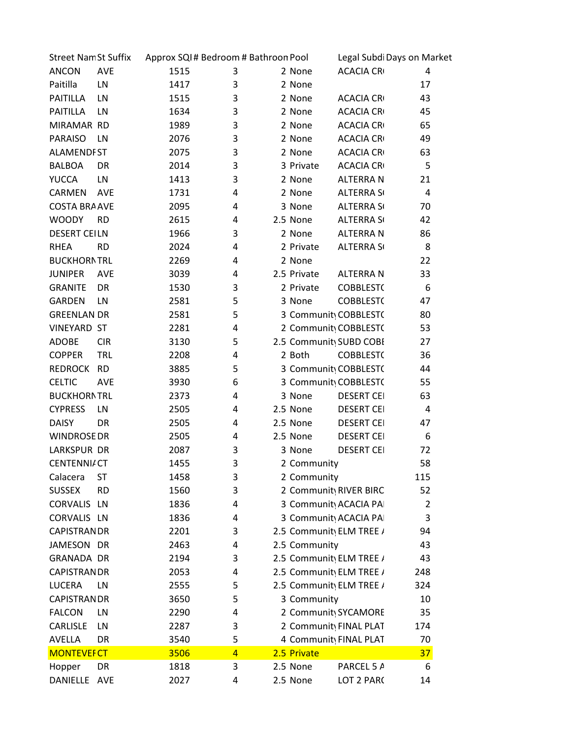| <b>Street Nam St Suffix</b> |            | Approx SQI# Bedroom # Bathroon Pool |                |                          | Legal Subdi Days on Market         |     |
|-----------------------------|------------|-------------------------------------|----------------|--------------------------|------------------------------------|-----|
| ANCON                       | AVE        | 1515                                | 3              | 2 None                   | <b>ACACIA CRI</b>                  | 4   |
| Paitilla                    | LN         | 1417                                | 3              | 2 None                   |                                    | 17  |
| PAITILLA                    | LN         | 1515                                | 3              | 2 None                   | <b>ACACIA CRI</b>                  | 43  |
| PAITILLA                    | LN         | 1634                                | 3              | 2 None                   | <b>ACACIA CRI</b>                  | 45  |
| MIRAMAR RD                  |            | 1989                                | 3              | 2 None                   | <b>ACACIA CRI</b>                  | 65  |
| PARAISO                     | LN         | 2076                                | 3              | 2 None                   | <b>ACACIA CRI</b>                  | 49  |
| <b>ALAMENDIST</b>           |            | 2075                                | 3              | 2 None                   | <b>ACACIA CRI</b>                  | 63  |
| <b>BALBOA</b>               | DR         | 2014                                | 3              | 3 Private                | <b>ACACIA CRI</b>                  | 5   |
| <b>YUCCA</b>                | LN         | 1413                                | 3              | 2 None                   | ALTERRA N                          | 21  |
| CARMEN AVE                  |            | 1731                                | 4              | 2 None                   | <b>ALTERRA SO</b>                  | 4   |
| <b>COSTA BRA AVE</b>        |            | 2095                                | 4              | 3 None                   | <b>ALTERRA SO</b>                  | 70  |
| <b>WOODY</b>                | <b>RD</b>  | 2615                                | 4              | 2.5 None                 | <b>ALTERRA SO</b>                  | 42  |
| <b>DESERT CEILN</b>         |            | 1966                                | 3              | 2 None                   | ALTERRA N                          | 86  |
| <b>RHEA</b>                 | <b>RD</b>  | 2024                                | 4              | 2 Private                | <b>ALTERRA SO</b>                  | 8   |
| <b>BUCKHORNTRL</b>          |            | 2269                                | 4              | 2 None                   |                                    | 22  |
|                             |            |                                     |                |                          |                                    |     |
| <b>JUNIPER</b>              | AVE        | 3039                                | 4              | 2.5 Private              | ALTERRA N                          | 33  |
| <b>GRANITE</b>              | DR         | 1530                                | 3              | 2 Private                | <b>COBBLEST(</b>                   | 6   |
| GARDEN                      | LN         | 2581                                | 5              | 3 None                   | <b>COBBLEST(</b>                   | 47  |
| <b>GREENLAN DR</b>          |            | 2581                                | 5              |                          | 3 Community COBBLESTO              | 80  |
| <b>VINEYARD ST</b>          |            | 2281                                | 4              |                          | 2 Community COBBLEST(              | 53  |
| ADOBE                       | <b>CIR</b> | 3130                                | 5              | 2.5 Communit\ SUBD COBI  |                                    | 27  |
| <b>COPPER</b>               | <b>TRL</b> | 2208                                | 4              | 2 Both                   | <b>COBBLEST(</b>                   | 36  |
| REDROCK RD                  |            | 3885                                | 5              |                          | 3 Community COBBLESTO              | 44  |
| <b>CELTIC</b>               | AVE        | 3930                                | 6              |                          | 3 Community COBBLESTO              | 55  |
| <b>BUCKHORNTRL</b>          |            | 2373                                | 4              | 3 None                   | <b>DESERT CEI</b>                  | 63  |
| <b>CYPRESS</b>              | LN         | 2505                                | 4              | 2.5 None                 | <b>DESERT CEI</b>                  | 4   |
| <b>DAISY</b>                | DR         | 2505                                | 4              | 2.5 None                 | <b>DESERT CEI</b>                  | 47  |
| <b>WINDROSE DR</b>          |            | 2505                                | 4              | 2.5 None                 | <b>DESERT CEI</b>                  | 6   |
| LARKSPUR DR                 |            | 2087                                | 3              | 3 None                   | <b>DESERT CEI</b>                  | 72  |
| <b>CENTENNI/ CT</b>         |            | 1455                                | 3              | 2 Community              |                                    | 58  |
| Calacera                    | <b>ST</b>  | 1458                                | 3              | 2 Community              |                                    | 115 |
| <b>SUSSEX</b>               | <b>RD</b>  | 1560                                | 3              |                          | 2 Communit <sub>)</sub> RIVER BIRC | 52  |
| CORVALIS LN                 |            | 1836                                | 4              |                          | 3 Community ACACIA PAI             | 2   |
| CORVALIS LN                 |            | 1836                                | 4              |                          | 3 Community ACACIA PAI             | 3   |
| <b>CAPISTRAN DR</b>         |            | 2201                                | 3              | 2.5 Community ELM TREE / |                                    | 94  |
|                             |            |                                     |                | 2.5 Community            |                                    |     |
| JAMESON DR                  |            | 2463                                | 4              |                          |                                    | 43  |
| <b>GRANADA DR</b>           |            | 2194                                | 3              | 2.5 Community ELM TREE / |                                    | 43  |
| <b>CAPISTRAN DR</b>         |            | 2053                                | 4              | 2.5 Community ELM TREE / |                                    | 248 |
| LUCERA                      | LN         | 2555                                | 5              | 2.5 Community ELM TREE / |                                    | 324 |
| <b>CAPISTRAN DR</b>         |            | 3650                                | 5              | 3 Community              |                                    | 10  |
| <b>FALCON</b>               | LN         | 2290                                | 4              |                          | 2 Communit <sub>)</sub> SYCAMORE   | 35  |
| CARLISLE                    | LN         | 2287                                | 3              |                          | 2 Community FINAL PLAT             | 174 |
| AVELLA                      | DR         | 3540                                | 5              |                          | 4 Community FINAL PLAT             | 70  |
| <b>MONTEVEF CT</b>          |            | 3506                                | $\overline{4}$ | 2.5 Private              |                                    | 37  |
| Hopper                      | DR         | 1818                                | 3              | 2.5 None                 | PARCEL 5 A                         | 6   |
| DANIELLE AVE                |            | 2027                                | 4              | 2.5 None                 | LOT 2 PARC                         | 14  |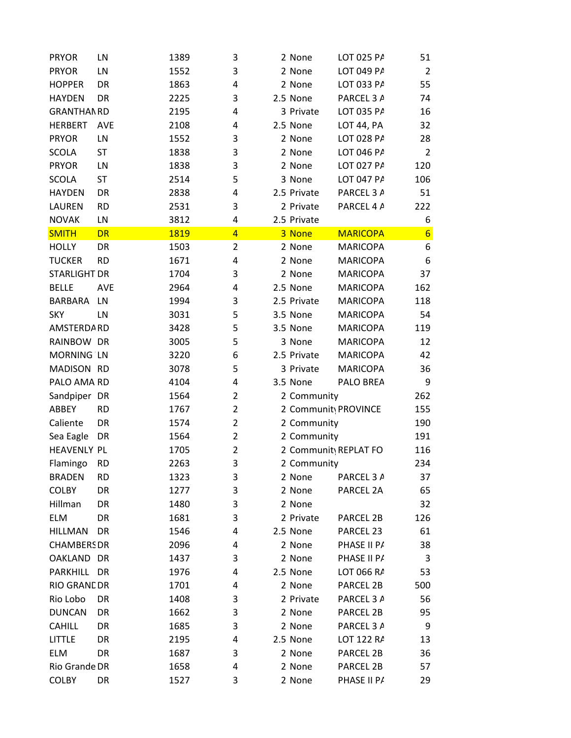| <b>PRYOR</b>        | LN         | 1389        | 3              | 2 None      | LOT 025 PA                        | 51               |
|---------------------|------------|-------------|----------------|-------------|-----------------------------------|------------------|
| <b>PRYOR</b>        | LN         | 1552        | 3              | 2 None      | LOT 049 PA                        | 2                |
| <b>HOPPER</b>       | DR         | 1863        | 4              | 2 None      | LOT 033 PA                        | 55               |
| <b>HAYDEN</b>       | DR         | 2225        | 3              | 2.5 None    | PARCEL 3 A                        | 74               |
| <b>GRANTHAN RD</b>  |            | 2195        | 4              | 3 Private   | LOT 035 PA                        | 16               |
| HERBERT             | <b>AVE</b> | 2108        | 4              | 2.5 None    | <b>LOT 44, PA</b>                 | 32               |
| <b>PRYOR</b>        | LN         | 1552        | 3              | 2 None      | LOT 028 PA                        | 28               |
| <b>SCOLA</b>        | <b>ST</b>  | 1838        | 3              | 2 None      | LOT 046 PA                        | $\overline{2}$   |
| <b>PRYOR</b>        | LN         | 1838        | 3              | 2 None      | LOT 027 PA                        | 120              |
| SCOLA               | ST         | 2514        | 5              | 3 None      | LOT 047 PA                        | 106              |
| <b>HAYDEN</b>       | DR         | 2838        | 4              | 2.5 Private | PARCEL 3 A                        | 51               |
| LAUREN              | <b>RD</b>  | 2531        | 3              | 2 Private   | PARCEL 4 A                        | 222              |
| <b>NOVAK</b>        | LN         | 3812        | 4              | 2.5 Private |                                   | 6                |
| <b>SMITH</b>        | <b>DR</b>  | <b>1819</b> | $\overline{4}$ | 3 None      | <b>MARICOPA</b>                   | $6 \overline{6}$ |
| <b>HOLLY</b>        | DR         | 1503        | 2              | 2 None      | <b>MARICOPA</b>                   | 6                |
|                     | <b>RD</b>  |             |                |             |                                   |                  |
| <b>TUCKER</b>       |            | 1671        | 4              | 2 None      | <b>MARICOPA</b>                   | 6                |
| <b>STARLIGHT DR</b> |            | 1704        | 3              | 2 None      | <b>MARICOPA</b>                   | 37               |
| <b>BELLE</b>        | AVE        | 2964        | 4              | 2.5 None    | <b>MARICOPA</b>                   | 162              |
| BARBARA LN          |            | 1994        | 3              | 2.5 Private | <b>MARICOPA</b>                   | 118              |
| <b>SKY</b>          | LN         | 3031        | 5              | 3.5 None    | <b>MARICOPA</b>                   | 54               |
| AMSTERDA RD         |            | 3428        | 5              | 3.5 None    | <b>MARICOPA</b>                   | 119              |
| RAINBOW DR          |            | 3005        | 5              | 3 None      | <b>MARICOPA</b>                   | 12               |
| <b>MORNING LN</b>   |            | 3220        | 6              | 2.5 Private | <b>MARICOPA</b>                   | 42               |
| MADISON RD          |            | 3078        | 5              | 3 Private   | <b>MARICOPA</b>                   | 36               |
| PALO AMA RD         |            | 4104        | 4              | 3.5 None    | PALO BREA                         | 9                |
| Sandpiper DR        |            | 1564        | 2              | 2 Community |                                   | 262              |
| ABBEY               | <b>RD</b>  | 1767        | $\overline{2}$ |             | 2 Community PROVINCE              | 155              |
| Caliente            | DR         | 1574        | $\overline{2}$ | 2 Community |                                   | 190              |
| Sea Eagle           | DR         | 1564        | $\overline{2}$ | 2 Community |                                   | 191              |
| <b>HEAVENLY PL</b>  |            | 1705        | 2              |             | 2 Communit <sub>)</sub> REPLAT FO | 116              |
| Flamingo            | <b>RD</b>  | 2263        | 3              | 2 Community |                                   | 234              |
| <b>BRADEN</b>       | <b>RD</b>  | 1323        | 3              | 2 None      | PARCEL 3 A                        | 37               |
| <b>COLBY</b>        | DR         | 1277        | 3              | 2 None      | PARCEL 2A                         | 65               |
| Hillman             | DR         | 1480        | 3              | 2 None      |                                   | 32               |
|                     |            |             |                |             |                                   |                  |
| ELM                 | DR         | 1681        | 3              | 2 Private   | PARCEL 2B                         | 126              |
| HILLMAN             | DR         | 1546        | 4              | 2.5 None    | PARCEL 23                         | 61               |
| <b>CHAMBERS DR</b>  |            | 2096        | 4              | 2 None      | PHASE II P/                       | 38               |
| OAKLAND DR          |            | 1437        | 3              | 2 None      | PHASE II P/                       | 3                |
| PARKHILL DR         |            | 1976        | 4              | 2.5 None    | LOT 066 RA                        | 53               |
| <b>RIO GRANL DR</b> |            | 1701        | 4              | 2 None      | PARCEL 2B                         | 500              |
| Rio Lobo            | DR         | 1408        | 3              | 2 Private   | PARCEL 3 A                        | 56               |
| <b>DUNCAN</b>       | DR         | 1662        | 3              | 2 None      | PARCEL 2B                         | 95               |
| <b>CAHILL</b>       | DR         | 1685        | 3              | 2 None      | PARCEL 3 A                        | 9                |
| LITTLE              | DR         | 2195        | 4              | 2.5 None    | LOT 122 RA                        | 13               |
| ELM                 | DR         | 1687        | 3              | 2 None      | PARCEL 2B                         | 36               |
| Rio Grande DR       |            | 1658        | 4              | 2 None      | PARCEL 2B                         | 57               |
| <b>COLBY</b>        | DR         | 1527        | 3              | 2 None      | PHASE II P/                       | 29               |
|                     |            |             |                |             |                                   |                  |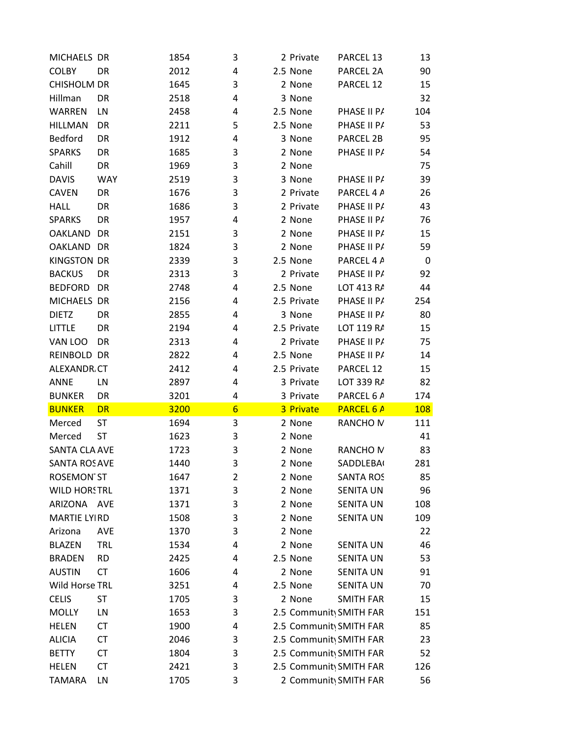| MICHAELS DR          |            | 1854 | 3               | 2 Private   | PARCEL 13                           | 13         |
|----------------------|------------|------|-----------------|-------------|-------------------------------------|------------|
| <b>COLBY</b>         | DR         | 2012 | 4               | 2.5 None    | PARCEL 2A                           | 90         |
| CHISHOLM DR          |            | 1645 | 3               | 2 None      | PARCEL 12                           | 15         |
| Hillman              | DR         | 2518 | 4               | 3 None      |                                     | 32         |
| WARREN               | LN         | 2458 | 4               | 2.5 None    | PHASE II P/                         | 104        |
| <b>HILLMAN</b>       | DR         | 2211 | 5               | 2.5 None    | PHASE II PA                         | 53         |
| Bedford              | DR         | 1912 | 4               | 3 None      | PARCEL 2B                           | 95         |
| <b>SPARKS</b>        | DR         | 1685 | 3               | 2 None      | PHASE II PA                         | 54         |
| Cahill               | DR         | 1969 | 3               | 2 None      |                                     | 75         |
| <b>DAVIS</b>         | <b>WAY</b> | 2519 | 3               | 3 None      | PHASE II P/                         | 39         |
| <b>CAVEN</b>         | DR         | 1676 | 3               | 2 Private   | PARCEL 4 A                          | 26         |
| <b>HALL</b>          | DR         | 1686 | 3               | 2 Private   | PHASE II PA                         | 43         |
| <b>SPARKS</b>        | DR         | 1957 | 4               | 2 None      | PHASE II PA                         | 76         |
| OAKLAND DR           |            | 2151 | 3               | 2 None      | PHASE II P/                         | 15         |
| OAKLAND DR           |            | 1824 | 3               | 2 None      | PHASE II P/                         | 59         |
| <b>KINGSTON DR</b>   |            | 2339 | 3               | 2.5 None    | PARCEL 4 A                          | 0          |
| <b>BACKUS</b>        | DR         | 2313 | 3               | 2 Private   | PHASE II P/                         | 92         |
| BEDFORD DR           |            | 2748 | 4               | 2.5 None    | LOT 413 RA                          | 44         |
| MICHAELS DR          |            | 2156 | 4               | 2.5 Private | PHASE II PA                         | 254        |
| <b>DIETZ</b>         | DR         | 2855 | 4               | 3 None      | PHASE II P/                         | 80         |
| <b>LITTLE</b>        | DR         | 2194 |                 | 2.5 Private | LOT 119 RA                          | 15         |
| VAN LOO              | DR         | 2313 | 4               |             |                                     |            |
|                      |            |      | 4               | 2 Private   | PHASE II P/                         | 75         |
| REINBOLD DR          |            | 2822 | 4               | 2.5 None    | PHASE II PA                         | 14         |
| <b>ALEXANDR CT</b>   |            | 2412 | 4               | 2.5 Private | PARCEL 12                           | 15         |
| ANNE                 | LN         | 2897 | 4               | 3 Private   | LOT 339 RA                          | 82         |
| <b>BUNKER</b>        | DR         | 3201 | 4               | 3 Private   | PARCEL 6 A                          | 174        |
| <b>BUNKER</b>        | DR         | 3200 | $6\overline{6}$ | 3 Private   | <b>PARCEL 6 A</b>                   | <b>108</b> |
| Merced               | <b>ST</b>  | 1694 | 3               | 2 None      | <b>RANCHO M</b>                     | 111        |
| Merced               | <b>ST</b>  | 1623 | 3               | 2 None      |                                     | 41         |
| SANTA CLA AVE        |            | 1723 | 3               | 2 None      | RANCHO <sub>N</sub>                 | 83         |
| <b>SANTA ROS AVE</b> |            | 1440 | 3               | 2 None      | <b>SADDLEBA</b>                     | 281        |
| <b>ROSEMON ST</b>    |            | 1647 | 2               | 2 None      | <b>SANTA ROS</b>                    | 85         |
| <b>WILD HORSTRL</b>  |            | 1371 | 3               | 2 None      | <b>SENITA UN</b>                    | 96         |
| ARIZONA AVE          |            | 1371 | 3               | 2 None      | SENITA UN                           | 108        |
| <b>MARTIE LYIRD</b>  |            | 1508 | 3               | 2 None      | SENITA UN                           | 109        |
| Arizona              | <b>AVE</b> | 1370 | 3               | 2 None      |                                     | 22         |
| <b>BLAZEN</b>        | <b>TRL</b> | 1534 | 4               | 2 None      | <b>SENITA UN</b>                    | 46         |
| <b>BRADEN</b>        | <b>RD</b>  | 2425 | 4               | 2.5 None    | <b>SENITA UN</b>                    | 53         |
| <b>AUSTIN</b>        | <b>CT</b>  | 1606 | 4               | 2 None      | SENITA UN                           | 91         |
| Wild Horse TRL       |            | 3251 | 4               | 2.5 None    | SENITA UN                           | 70         |
| <b>CELIS</b>         | <b>ST</b>  | 1705 | 3               | 2 None      | <b>SMITH FAR</b>                    | 15         |
| <b>MOLLY</b>         | LN         | 1653 | 3               |             | 2.5 Community SMITH FAR             | 151        |
| <b>HELEN</b>         | <b>CT</b>  | 1900 | 4               |             | 2.5 Community SMITH FAR             | 85         |
| <b>ALICIA</b>        | <b>CT</b>  | 2046 | 3               |             | 2.5 Community SMITH FAR             | 23         |
| <b>BETTY</b>         | <b>CT</b>  | 1804 | 3               |             | 2.5 Community SMITH FAR             | 52         |
| <b>HELEN</b>         | <b>CT</b>  | 2421 | 3               |             | 2.5 Communit <sub>)</sub> SMITH FAR | 126        |
| TAMARA               | LN         | 1705 | 3               |             | 2 Communit <sub>)</sub> SMITH FAR   | 56         |
|                      |            |      |                 |             |                                     |            |